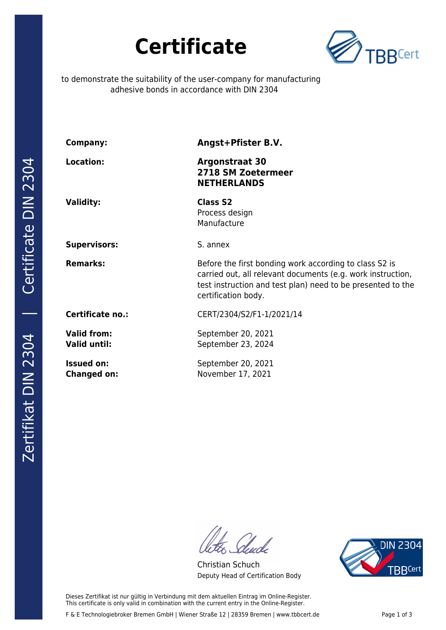



to demonstrate the suitability of the user-company for manufacturing adhesive bonds in accordance with DIN 2304

| <b>Company:</b>                           | Angst+Pfister B.V.                                                                                                                                                                                          |
|-------------------------------------------|-------------------------------------------------------------------------------------------------------------------------------------------------------------------------------------------------------------|
| <b>Location:</b>                          | <b>Argonstraat 30</b><br>2718 SM Zoetermeer<br><b>NETHERLANDS</b>                                                                                                                                           |
| <b>Validity:</b>                          | <b>Class S2</b><br>Process design<br>Manufacture                                                                                                                                                            |
| <b>Supervisors:</b>                       | S. annex                                                                                                                                                                                                    |
| <b>Remarks:</b>                           | Before the first bonding work according to class S2 is<br>carried out, all relevant documents (e.g. work instruction,<br>test instruction and test plan) need to be presented to the<br>certification body. |
| Certificate no.:                          | CERT/2304/S2/F1-1/2021/14                                                                                                                                                                                   |
| <b>Valid from:</b><br><b>Valid until:</b> | September 20, 2021<br>September 23, 2024                                                                                                                                                                    |
| <b>Issued on:</b><br><b>Changed on:</b>   | September 20, 2021<br>November 17, 2021                                                                                                                                                                     |

Glude

Christian Schuch Deputy Head of Certification Body



Zertifikat DIN 2304 | Certificate DIN 2304

Dieses Zertifikat ist nur gültig in Verbindung mit dem aktuellen Eintrag im Online-Register. This certificate is only valid in combination with the current entry in the Online-Register.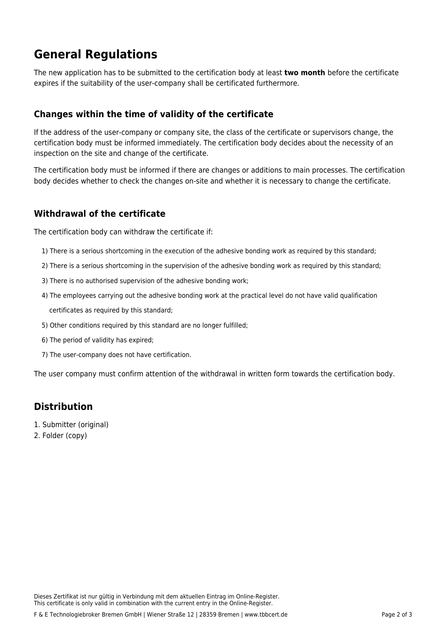# **General Regulations**

The new application has to be submitted to the certification body at least **two month** before the certificate expires if the suitability of the user-company shall be certificated furthermore.

#### **Changes within the time of validity of the certificate**

If the address of the user-company or company site, the class of the certificate or supervisors change, the certification body must be informed immediately. The certification body decides about the necessity of an inspection on the site and change of the certificate.

The certification body must be informed if there are changes or additions to main processes. The certification body decides whether to check the changes on-site and whether it is necessary to change the certificate.

#### **Withdrawal of the certificate**

The certification body can withdraw the certificate if:

- 1) There is a serious shortcoming in the execution of the adhesive bonding work as required by this standard;
- 2) There is a serious shortcoming in the supervision of the adhesive bonding work as required by this standard;
- 3) There is no authorised supervision of the adhesive bonding work;
- 4) The employees carrying out the adhesive bonding work at the practical level do not have valid qualification certificates as required by this standard;
- 5) Other conditions required by this standard are no longer fulfilled;
- 6) The period of validity has expired;
- 7) The user-company does not have certification.

The user company must confirm attention of the withdrawal in written form towards the certification body.

### **Distribution**

- 1. Submitter (original)
- 2. Folder (copy)

Dieses Zertifikat ist nur gültig in Verbindung mit dem aktuellen Eintrag im Online-Register. This certificate is only valid in combination with the current entry in the Online-Register.